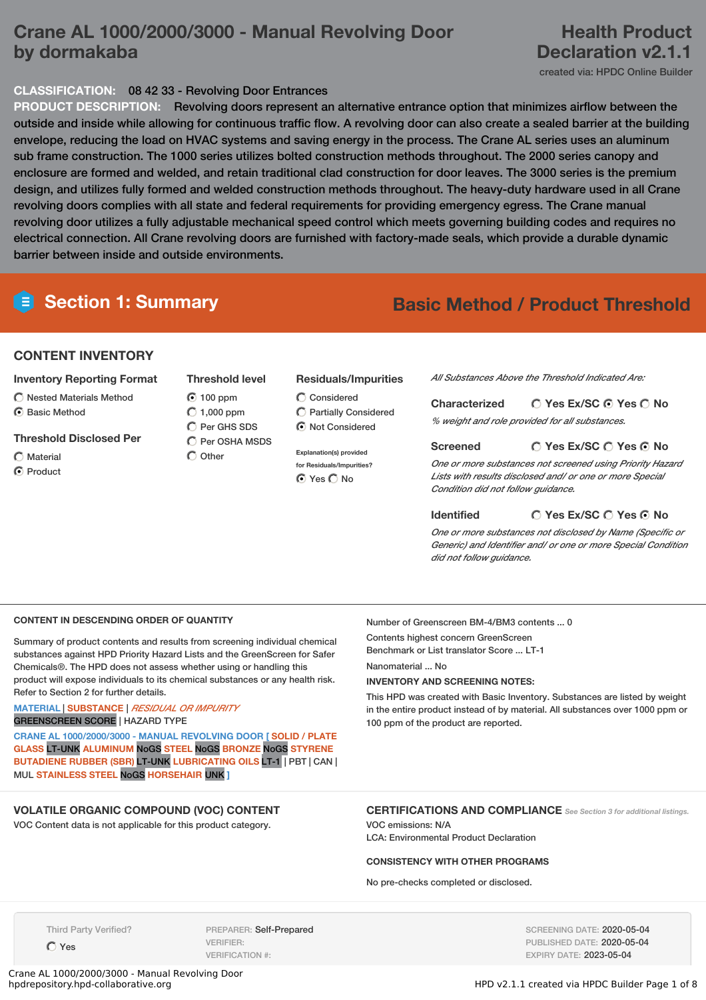# **Crane AL 1000/2000/3000 - Manual Revolving Door by dormakaba**

# **Health Product Declaration v2.1.1**

created via: HPDC Online Builder

# **CLASSIFICATION:** 08 42 33 - Revolving Door Entrances

**PRODUCT DESCRIPTION:** Revolving doors represent an alternative entrance option that minimizes airflow between the outside and inside while allowing for continuous traffic flow. A revolving door can also create a sealed barrier at the building envelope, reducing the load on HVAC systems and saving energy in the process. The Crane AL series uses an aluminum sub frame construction. The 1000 series utilizes bolted construction methods throughout. The 2000 series canopy and enclosure are formed and welded, and retain traditional clad construction for door leaves. The 3000 series is the premium design, and utilizes fully formed and welded construction methods throughout. The heavy-duty hardware used in all Crane revolving doors complies with all state and federal requirements for providing emergency egress. The Crane manual revolving door utilizes a fully adjustable mechanical speed control which meets governing building codes and requires no electrical connection. All Crane revolving doors are furnished with factory-made seals, which provide a durable dynamic barrier between inside and outside environments.

# **Section 1: Summary Basic Method / Product Threshold**

## **CONTENT INVENTORY**

#### **Inventory Reporting Format**

- $\bigcap$  Nested Materials Method C Basic Method
- **Threshold Disclosed Per**
- Material
- **O** Product

#### **Threshold level Residuals/Impurities**

 $\bigcap$  Considered Partially Considered  $\bigcirc$  Not Considered

**Explanation(s) provided for Residuals/Impurities?** ⊙ Yes O No

*All Substances Above the Threshold Indicated Are:*

| <b>Characterized</b> | $\bigcirc$ Yes Ex/SC $\bigcirc$ Yes $\bigcirc$ No |
|----------------------|---------------------------------------------------|
|                      | % weight and role provided for all substances.    |

**Yes Ex/SC Yes No Screened**

*One or more substances not screened using Priority Hazard Lists with results disclosed and/ or one or more Special Condition did not follow guidance.*

#### **Identified**

## **Yes Ex/SC Yes No**

*One or more substances not disclosed by Name (Specific or Generic) and Identifier and/ or one or more Special Condition did not follow guidance.*

### **CONTENT IN DESCENDING ORDER OF QUANTITY**

Summary of product contents and results from screening individual chemical substances against HPD Priority Hazard Lists and the GreenScreen for Safer Chemicals®. The HPD does not assess whether using or handling this product will expose individuals to its chemical substances or any health risk. Refer to Section 2 for further details.

100 ppm  $O$  1,000 ppm C Per GHS SDS  $\bigcap$  Per OSHA MSDS

 $\bigcap$  Other

#### **MATERIAL** | **SUBSTANCE** | *RESIDUAL OR IMPURITY* GREENSCREEN SCORE | HAZARD TYPE

**CRANE AL 1000/2000/3000 - MANUAL REVOLVING DOOR [ SOLID / PLATE GLASS** LT-UNK **ALUMINUM** NoGS **STEEL** NoGS **BRONZE** NoGS **STYRENE BUTADIENE RUBBER (SBR)** LT-UNK **LUBRICATING OILS** LT-1 | PBT | CAN | MUL **STAINLESS STEEL** NoGS **HORSEHAIR** UNK **]**

# **VOLATILE ORGANIC COMPOUND (VOC) CONTENT**

VOC Content data is not applicable for this product category.

Number of Greenscreen BM-4/BM3 contents ... 0

Contents highest concern GreenScreen

Benchmark or List translator Score ... LT-1

## Nanomaterial ... No

# **INVENTORY AND SCREENING NOTES:**

This HPD was created with Basic Inventory. Substances are listed by weight in the entire product instead of by material. All substances over 1000 ppm or 100 ppm of the product are reported.

#### **CERTIFICATIONS AND COMPLIANCE** *See Section <sup>3</sup> for additional listings.* VOC emissions: N/A

LCA: Environmental Product Declaration

#### **CONSISTENCY WITH OTHER PROGRAMS**

No pre-checks completed or disclosed.

Third Party Verified?

 $O$  Yes

PREPARER: Self-Prepared VERIFIER: VERIFICATION #:

Crane AL 1000/2000/3000 - Manual Revolving Door

SCREENING DATE: 2020-05-04 PUBLISHED DATE: 2020-05-04 EXPIRY DATE: 2023-05-04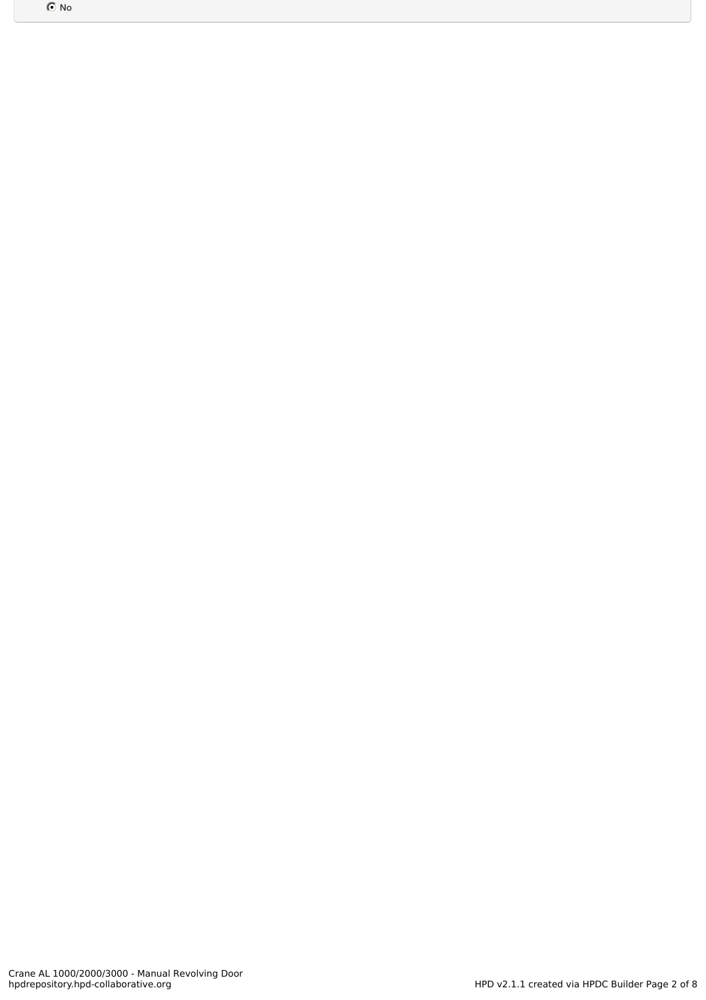$\odot$  No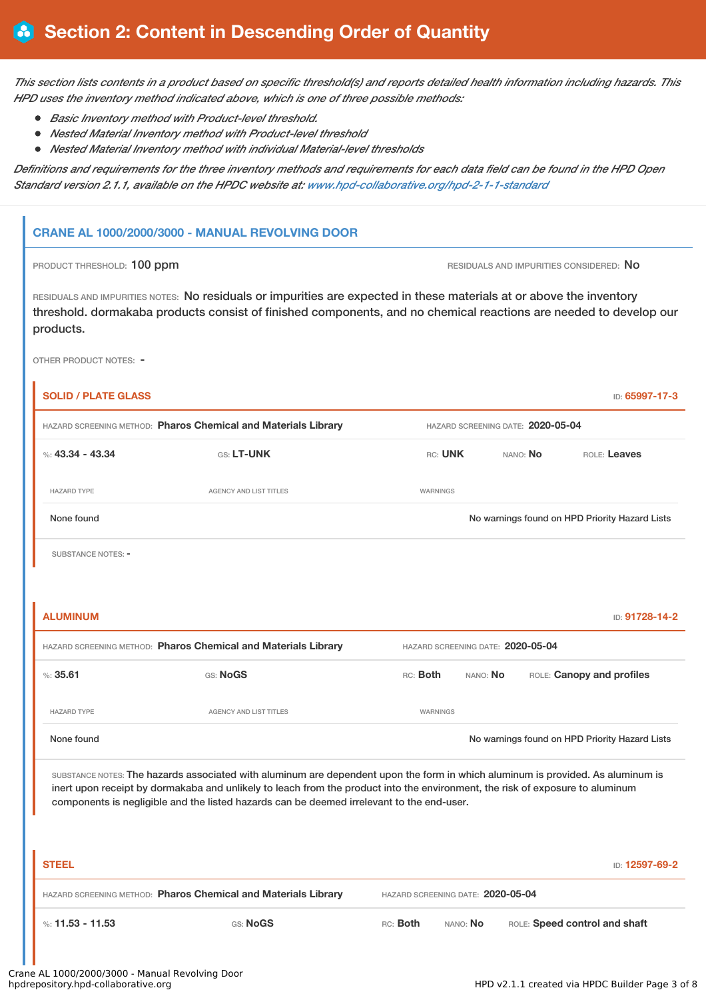This section lists contents in a product based on specific threshold(s) and reports detailed health information including hazards. This *HPD uses the inventory method indicated above, which is one of three possible methods:*

- *Basic Inventory method with Product-level threshold.*
- *Nested Material Inventory method with Product-level threshold*
- *Nested Material Inventory method with individual Material-level thresholds*

Definitions and requirements for the three inventory methods and requirements for each data field can be found in the HPD Open *Standard version 2.1.1, available on the HPDC website at: [www.hpd-collaborative.org/hpd-2-1-1-standard](https://www.hpd-collaborative.org/hpd-2-1-1-standard)*

## **CRANE AL 1000/2000/3000 - MANUAL REVOLVING DOOR**

### PRODUCT THRESHOLD: 100 ppm **RESIDUALS AND IMPURITIES CONSIDERED:** No

RESIDUALS AND IMPURITIES NOTES: No residuals or impurities are expected in these materials at or above the inventory threshold. dormakaba products consist of finished components, and no chemical reactions are needed to develop our products.

OTHER PRODUCT NOTES: -

| <b>SOLID / PLATE GLASS</b>                                                                                                                                                                                                                                                                                                                                    |                                                                |                                   |          |              | ID: 65997-17-3                                 |  |
|---------------------------------------------------------------------------------------------------------------------------------------------------------------------------------------------------------------------------------------------------------------------------------------------------------------------------------------------------------------|----------------------------------------------------------------|-----------------------------------|----------|--------------|------------------------------------------------|--|
| HAZARD SCREENING METHOD: Pharos Chemical and Materials Library                                                                                                                                                                                                                                                                                                |                                                                | HAZARD SCREENING DATE: 2020-05-04 |          |              |                                                |  |
| %: $43.34 - 43.34$                                                                                                                                                                                                                                                                                                                                            | <b>RC: UNK</b>                                                 | NANO: No                          |          | ROLE: Leaves |                                                |  |
| <b>HAZARD TYPE</b>                                                                                                                                                                                                                                                                                                                                            | AGENCY AND LIST TITLES                                         | <b>WARNINGS</b>                   |          |              |                                                |  |
| None found                                                                                                                                                                                                                                                                                                                                                    |                                                                |                                   |          |              | No warnings found on HPD Priority Hazard Lists |  |
| <b>SUBSTANCE NOTES: -</b>                                                                                                                                                                                                                                                                                                                                     |                                                                |                                   |          |              |                                                |  |
|                                                                                                                                                                                                                                                                                                                                                               |                                                                |                                   |          |              |                                                |  |
| <b>ALUMINUM</b>                                                                                                                                                                                                                                                                                                                                               |                                                                |                                   |          |              | ID: 91728-14-2                                 |  |
|                                                                                                                                                                                                                                                                                                                                                               | HAZARD SCREENING METHOD: Pharos Chemical and Materials Library | HAZARD SCREENING DATE: 2020-05-04 |          |              |                                                |  |
| %35.61                                                                                                                                                                                                                                                                                                                                                        | GS: NoGS                                                       | RC: Both                          | NANO: No |              | ROLE: Canopy and profiles                      |  |
| <b>HAZARD TYPE</b>                                                                                                                                                                                                                                                                                                                                            | AGENCY AND LIST TITLES                                         | <b>WARNINGS</b>                   |          |              |                                                |  |
| None found                                                                                                                                                                                                                                                                                                                                                    |                                                                |                                   |          |              | No warnings found on HPD Priority Hazard Lists |  |
| SUBSTANCE NOTES: The hazards associated with aluminum are dependent upon the form in which aluminum is provided. As aluminum is<br>inert upon receipt by dormakaba and unlikely to leach from the product into the environment, the risk of exposure to aluminum<br>components is negligible and the listed hazards can be deemed irrelevant to the end-user. |                                                                |                                   |          |              |                                                |  |
|                                                                                                                                                                                                                                                                                                                                                               |                                                                |                                   |          |              |                                                |  |
| <b>STEEL</b>                                                                                                                                                                                                                                                                                                                                                  |                                                                |                                   |          |              | ID: 12597-69-2                                 |  |
|                                                                                                                                                                                                                                                                                                                                                               | HAZARD SCREENING METHOD: Pharos Chemical and Materials Library | HAZARD SCREENING DATE: 2020-05-04 |          |              |                                                |  |
| %: $11.53 - 11.53$                                                                                                                                                                                                                                                                                                                                            | GS: NoGS                                                       | RC: Both<br>NANO: No              |          |              | ROLE: Speed control and shaft                  |  |
|                                                                                                                                                                                                                                                                                                                                                               |                                                                |                                   |          |              |                                                |  |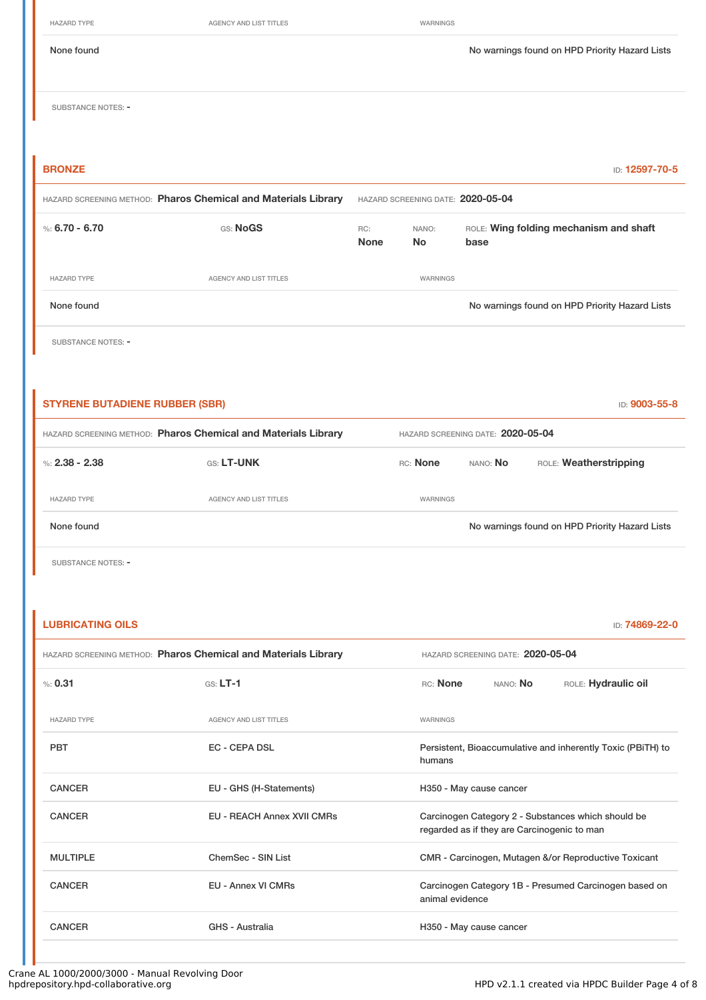|                                                                | <b>HAZARD TYPE</b>        | AGENCY AND LIST TITLES |                    | WARNINGS                          |                                                |
|----------------------------------------------------------------|---------------------------|------------------------|--------------------|-----------------------------------|------------------------------------------------|
|                                                                | None found                |                        |                    |                                   | No warnings found on HPD Priority Hazard Lists |
|                                                                | <b>SUBSTANCE NOTES: -</b> |                        |                    |                                   |                                                |
|                                                                | <b>BRONZE</b>             |                        |                    |                                   | ID: 12597-70-5                                 |
| HAZARD SCREENING METHOD: Pharos Chemical and Materials Library |                           |                        |                    | HAZARD SCREENING DATE: 2020-05-04 |                                                |
|                                                                |                           |                        |                    |                                   |                                                |
|                                                                | %: $6.70 - 6.70$          | GS: NoGS               | RC:<br><b>None</b> | NANO:<br><b>No</b>                | ROLE: Wing folding mechanism and shaft<br>base |
|                                                                | <b>HAZARD TYPE</b>        | AGENCY AND LIST TITLES |                    | WARNINGS                          |                                                |
|                                                                | None found                |                        |                    |                                   | No warnings found on HPD Priority Hazard Lists |
|                                                                | <b>SUBSTANCE NOTES: -</b> |                        |                    |                                   |                                                |
|                                                                |                           |                        |                    |                                   |                                                |

| HAZARD SCREENING METHOD: Pharos Chemical and Materials Library<br>HAZARD SCREENING DATE: 2020-05-04 |  |
|-----------------------------------------------------------------------------------------------------|--|
|                                                                                                     |  |
| RC: None<br><b>GS: LT-UNK</b><br>ROLE: Weatherstripping<br>%: $2.38 - 2.38$<br>NANO: No             |  |
| <b>HAZARD TYPE</b><br><b>AGENCY AND LIST TITLES</b><br>WARNINGS                                     |  |
| None found<br>No warnings found on HPD Priority Hazard Lists                                        |  |

SUBSTANCE NOTES: -

| <b>LUBRICATING OILS</b><br>ID: 74869-22-0                                                      |                                                                            |                                                                                                   |          |                                                             |  |  |
|------------------------------------------------------------------------------------------------|----------------------------------------------------------------------------|---------------------------------------------------------------------------------------------------|----------|-------------------------------------------------------------|--|--|
| HAZARD SCREENING METHOD: Pharos Chemical and Materials Library                                 |                                                                            | HAZARD SCREENING DATE: 2020-05-04                                                                 |          |                                                             |  |  |
| % 0.31                                                                                         | $GS: LT-1$                                                                 | RC: None                                                                                          | NANO: No | ROLE: Hydraulic oil                                         |  |  |
| <b>HAZARD TYPE</b>                                                                             | <b>AGENCY AND LIST TITLES</b>                                              | WARNINGS                                                                                          |          |                                                             |  |  |
| <b>PBT</b>                                                                                     | <b>EC - CEPA DSL</b>                                                       | humans                                                                                            |          | Persistent, Bioaccumulative and inherently Toxic (PBITH) to |  |  |
| <b>CANCER</b><br>EU - GHS (H-Statements)<br><b>CANCER</b><br><b>EU - REACH Annex XVII CMRs</b> |                                                                            | H350 - May cause cancer                                                                           |          |                                                             |  |  |
|                                                                                                |                                                                            | Carcinogen Category 2 - Substances which should be<br>regarded as if they are Carcinogenic to man |          |                                                             |  |  |
| <b>MULTIPLE</b>                                                                                | ChemSec - SIN List<br>CMR - Carcinogen, Mutagen &/or Reproductive Toxicant |                                                                                                   |          |                                                             |  |  |
| <b>CANCER</b>                                                                                  | <b>EU - Annex VI CMRs</b>                                                  | Carcinogen Category 1B - Presumed Carcinogen based on<br>animal evidence                          |          |                                                             |  |  |
| <b>CANCER</b><br>GHS - Australia                                                               |                                                                            | H350 - May cause cancer                                                                           |          |                                                             |  |  |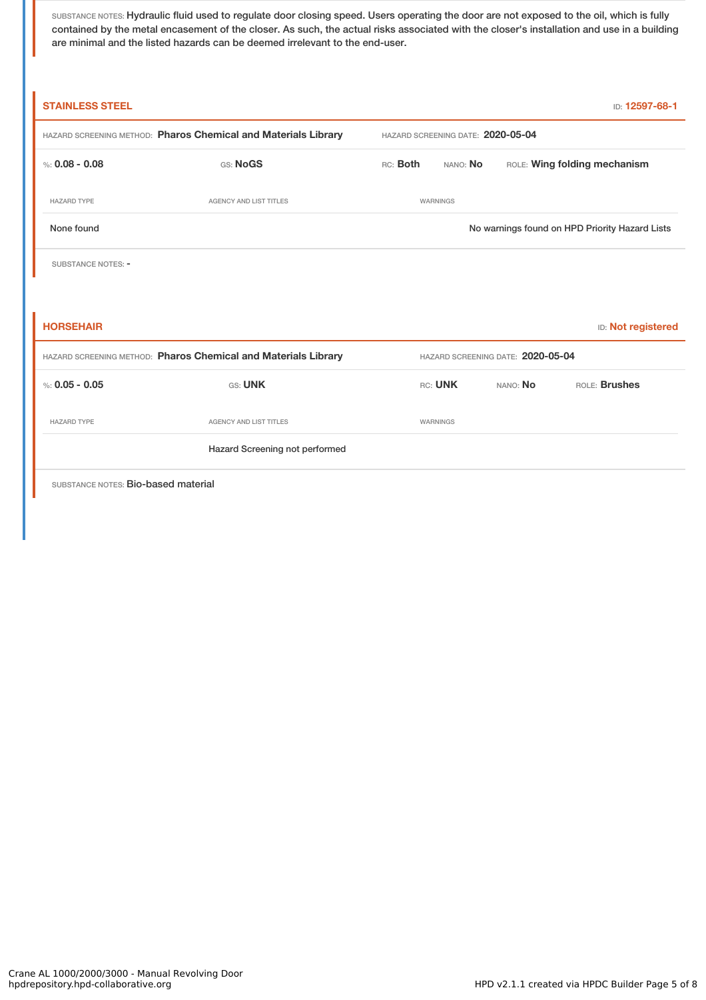SUBSTANCE NOTES: Hydraulic fluid used to regulate door closing speed. Users operating the door are not exposed to the oil, which is fully contained by the metal encasement of the closer. As such, the actual risks associated with the closer's installation and use in a building are minimal and the listed hazards can be deemed irrelevant to the end-user.

| <b>STAINLESS STEEL</b><br>ID: 12597-68-1                       |                                                                |                                   |                                   |          |                                                |  |  |
|----------------------------------------------------------------|----------------------------------------------------------------|-----------------------------------|-----------------------------------|----------|------------------------------------------------|--|--|
|                                                                | HAZARD SCREENING METHOD: Pharos Chemical and Materials Library | HAZARD SCREENING DATE: 2020-05-04 |                                   |          |                                                |  |  |
| %: $0.08 - 0.08$                                               | GS: NoGS                                                       | RC: Both                          | NANO: No                          |          | ROLE: Wing folding mechanism                   |  |  |
| <b>HAZARD TYPE</b>                                             | AGENCY AND LIST TITLES                                         |                                   | WARNINGS                          |          |                                                |  |  |
| None found                                                     |                                                                |                                   |                                   |          | No warnings found on HPD Priority Hazard Lists |  |  |
| SUBSTANCE NOTES: -                                             |                                                                |                                   |                                   |          |                                                |  |  |
|                                                                |                                                                |                                   |                                   |          |                                                |  |  |
| <b>HORSEHAIR</b>                                               |                                                                |                                   |                                   |          | <b>ID: Not registered</b>                      |  |  |
| HAZARD SCREENING METHOD: Pharos Chemical and Materials Library |                                                                |                                   | HAZARD SCREENING DATE: 2020-05-04 |          |                                                |  |  |
| %: $0.05 - 0.05$                                               | GS: UNK                                                        |                                   | RC: UNK                           | NANO: No | ROLE: Brushes                                  |  |  |
| <b>HAZARD TYPE</b>                                             | <b>AGENCY AND LIST TITLES</b>                                  |                                   | WARNINGS                          |          |                                                |  |  |
|                                                                | Hazard Screening not performed                                 |                                   |                                   |          |                                                |  |  |
| SUBSTANCE NOTES: Bio-based material                            |                                                                |                                   |                                   |          |                                                |  |  |

Crane AL 1000/2000/3000 - Manual Revolving Door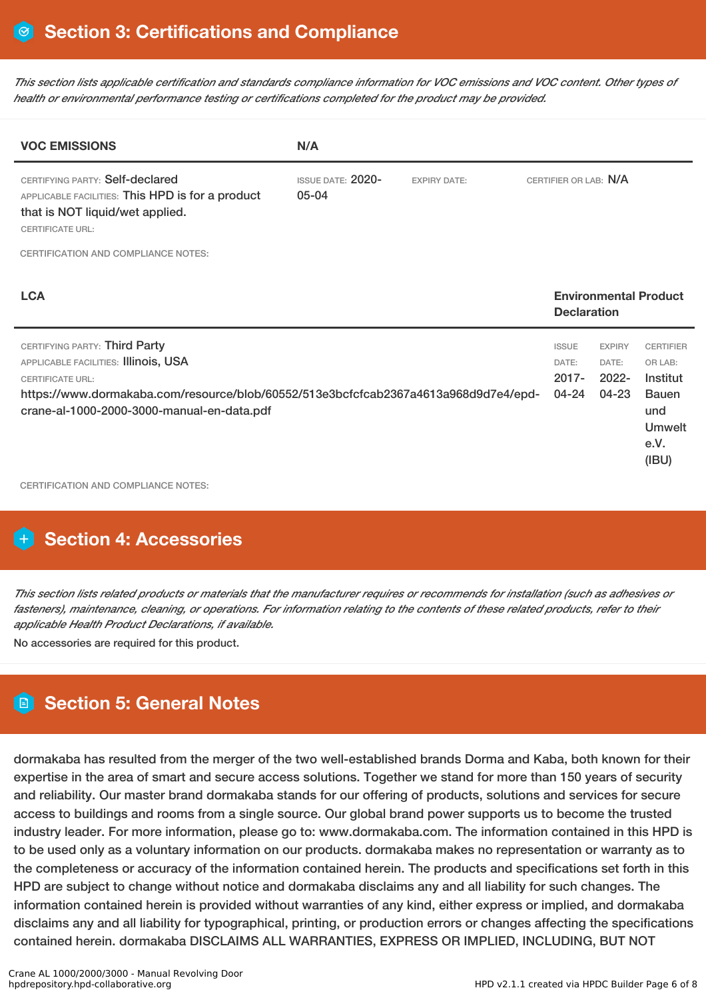This section lists applicable certification and standards compliance information for VOC emissions and VOC content. Other types of *health or environmental performance testing or certifications completed for the product may be provided.*

| <b>VOC EMISSIONS</b>                                                                                                                                                                                                                  | N/A                                   |                     |                                            |                                                 |                                                                                                  |
|---------------------------------------------------------------------------------------------------------------------------------------------------------------------------------------------------------------------------------------|---------------------------------------|---------------------|--------------------------------------------|-------------------------------------------------|--------------------------------------------------------------------------------------------------|
| CERTIFYING PARTY: Self-declared<br>APPLICABLE FACILITIES: This HPD is for a product<br>that is NOT liquid/wet applied.<br><b>CERTIFICATE URL:</b>                                                                                     | <b>ISSUE DATE: 2020-</b><br>$05 - 04$ | <b>EXPIRY DATE:</b> | CERTIFIER OR LAB: N/A                      |                                                 |                                                                                                  |
| <b>CERTIFICATION AND COMPLIANCE NOTES:</b>                                                                                                                                                                                            |                                       |                     |                                            |                                                 |                                                                                                  |
| <b>LCA</b>                                                                                                                                                                                                                            |                                       |                     | <b>Declaration</b>                         |                                                 | <b>Environmental Product</b>                                                                     |
| CERTIFYING PARTY: Third Party<br>APPLICABLE FACILITIES: Illinois, USA<br><b>CERTIFICATE URL:</b><br>https://www.dormakaba.com/resource/blob/60552/513e3bcfcfcab2367a4613a968d9d7e4/epd-<br>crane-al-1000-2000-3000-manual-en-data.pdf |                                       |                     | <b>ISSUE</b><br>DATE:<br>$2017 -$<br>04-24 | <b>EXPIRY</b><br>DATE:<br>$2022 -$<br>$04 - 23$ | <b>CERTIFIER</b><br>OR LAB:<br>Institut<br><b>Bauen</b><br>und<br><b>Umwelt</b><br>e.V.<br>(IBU) |

CERTIFICATION AND COMPLIANCE NOTES:

# **Section 4: Accessories**

This section lists related products or materials that the manufacturer requires or recommends for installation (such as adhesives or fasteners), maintenance, cleaning, or operations. For information relating to the contents of these related products, refer to their *applicable Health Product Declarations, if available.*

No accessories are required for this product.

# **Section 5: General Notes**

dormakaba has resulted from the merger of the two well-established brands Dorma and Kaba, both known for their expertise in the area of smart and secure access solutions. Together we stand for more than 150 years of security and reliability. Our master brand dormakaba stands for our offering of products, solutions and services for secure access to buildings and rooms from a single source. Our global brand power supports us to become the trusted industry leader. For more information, please go to: www.dormakaba.com. The information contained in this HPD is to be used only as a voluntary information on our products. dormakaba makes no representation or warranty as to the completeness or accuracy of the information contained herein. The products and specifications set forth in this HPD are subject to change without notice and dormakaba disclaims any and all liability for such changes. The information contained herein is provided without warranties of any kind, either express or implied, and dormakaba disclaims any and all liability for typographical, printing, or production errors or changes affecting the specifications contained herein. dormakaba DISCLAIMS ALL WARRANTIES, EXPRESS OR IMPLIED, INCLUDING, BUT NOT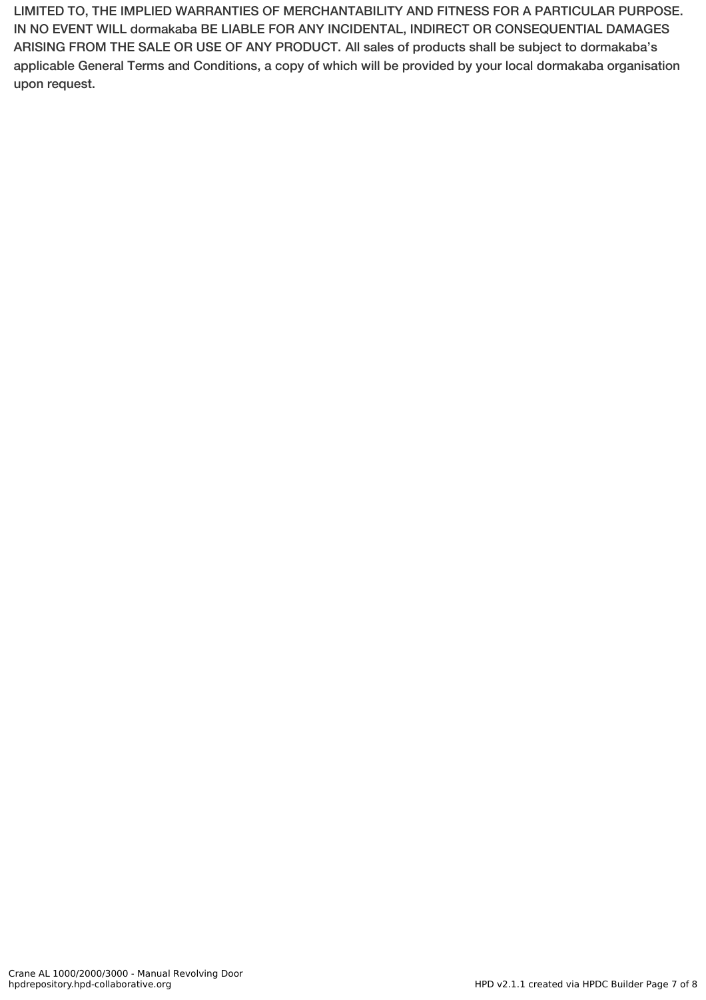LIMITED TO, THE IMPLIED WARRANTIES OF MERCHANTABILITY AND FITNESS FOR A PARTICULAR PURPOSE. IN NO EVENT WILL dormakaba BE LIABLE FOR ANY INCIDENTAL, INDIRECT OR CONSEQUENTIAL DAMAGES ARISING FROM THE SALE OR USE OF ANY PRODUCT. All sales of products shall be subject to dormakaba's applicable General Terms and Conditions, a copy of which will be provided by your local dormakaba organisation upon request.